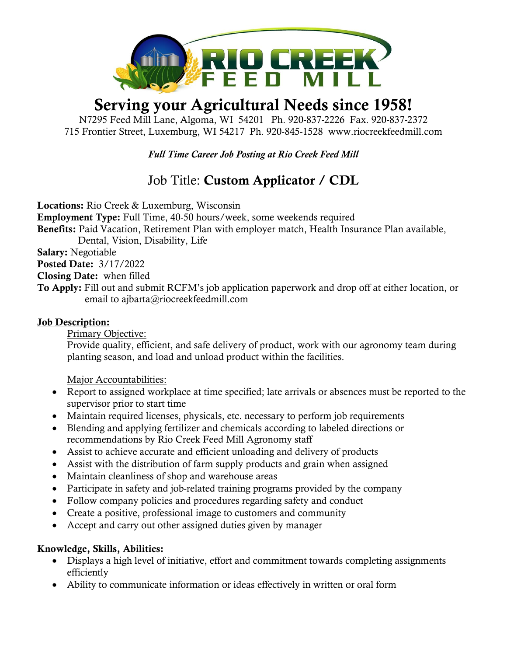

## Serving your Agricultural Needs since 1958!

N7295 Feed Mill Lane, Algoma, WI 54201 Ph. 920-837-2226 Fax. 920-837-2372 715 Frontier Street, Luxemburg, WI 54217 Ph. 920-845-1528 [www.riocreekfeedmill.com](http://www.riocreekfeedmill.com/)

*Full Time Career Job Posting at Rio Creek Feed Mill*

## Job Title: Custom Applicator / CDL

Locations: Rio Creek & Luxemburg, Wisconsin Employment Type: Full Time, 40-50 hours/week, some weekends required Benefits: Paid Vacation, Retirement Plan with employer match, Health Insurance Plan available, Dental, Vision, Disability, Life Salary: Negotiable Posted Date: 3/17/2022 Closing Date: when filled To Apply: Fill out and submit RCFM's job application paperwork and drop off at either location, or

Job Description:

Primary Objective:

Provide quality, efficient, and safe delivery of product, work with our agronomy team during planting season, and load and unload product within the facilities.

Major Accountabilities:

- Report to assigned workplace at time specified; late arrivals or absences must be reported to the supervisor prior to start time
- Maintain required licenses, physicals, etc. necessary to perform job requirements
- Blending and applying fertilizer and chemicals according to labeled directions or recommendations by Rio Creek Feed Mill Agronomy staff
- Assist to achieve accurate and efficient unloading and delivery of products
- Assist with the distribution of farm supply products and grain when assigned
- Maintain cleanliness of shop and warehouse areas

email to ajbarta@riocreekfeedmill.com

- Participate in safety and job-related training programs provided by the company
- Follow company policies and procedures regarding safety and conduct
- Create a positive, professional image to customers and community
- Accept and carry out other assigned duties given by manager

## Knowledge, Skills, Abilities:

- Displays a high level of initiative, effort and commitment towards completing assignments efficiently
- Ability to communicate information or ideas effectively in written or oral form